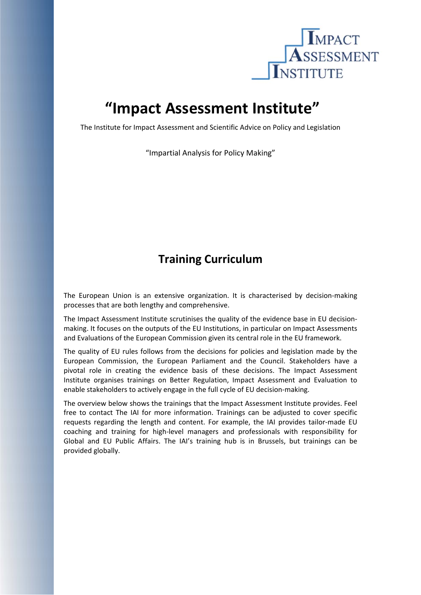

## **"Impact Assessment Institute"**

The Institute for Impact Assessment and Scientific Advice on Policy and Legislation

"Impartial Analysis for Policy Making"

## **Training Curriculum**

The European Union is an extensive organization. It is characterised by decision‐making processes that are both lengthy and comprehensive.

The Impact Assessment Institute scrutinises the quality of the evidence base in EU decision‐ making. It focuses on the outputs of the EU Institutions, in particular on Impact Assessments and Evaluations of the European Commission given its central role in the EU framework.

The quality of EU rules follows from the decisions for policies and legislation made by the European Commission, the European Parliament and the Council. Stakeholders have a pivotal role in creating the evidence basis of these decisions. The Impact Assessment Institute organises trainings on Better Regulation, Impact Assessment and Evaluation to enable stakeholders to actively engage in the full cycle of EU decision‐making.

The overview below shows the trainings that the Impact Assessment Institute provides. Feel free to contact The IAI for more information. Trainings can be adjusted to cover specific requests regarding the length and content. For example, the IAI provides tailor‐made EU coaching and training for high‐level managers and professionals with responsibility for Global and EU Public Affairs. The IAI's training hub is in Brussels, but trainings can be provided globally.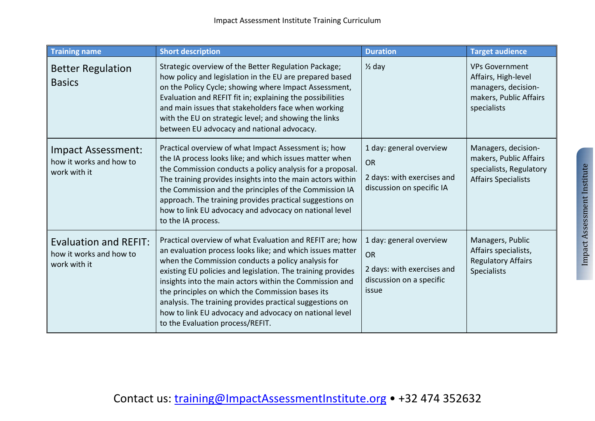| <b>Training name</b>                                                    | <b>Short description</b>                                                                                                                                                                                                                                                                                                                                                                                                                                                                                            | <b>Duration</b>                                                                                  | <b>Target audience</b>                                                                                       |
|-------------------------------------------------------------------------|---------------------------------------------------------------------------------------------------------------------------------------------------------------------------------------------------------------------------------------------------------------------------------------------------------------------------------------------------------------------------------------------------------------------------------------------------------------------------------------------------------------------|--------------------------------------------------------------------------------------------------|--------------------------------------------------------------------------------------------------------------|
| <b>Better Regulation</b><br><b>Basics</b>                               | Strategic overview of the Better Regulation Package;<br>how policy and legislation in the EU are prepared based<br>on the Policy Cycle; showing where Impact Assessment,<br>Evaluation and REFIT fit in; explaining the possibilities<br>and main issues that stakeholders face when working<br>with the EU on strategic level; and showing the links<br>between EU advocacy and national advocacy.                                                                                                                 | $\frac{1}{2}$ day                                                                                | <b>VPs Government</b><br>Affairs, High-level<br>managers, decision-<br>makers, Public Affairs<br>specialists |
| Impact Assessment:<br>how it works and how to<br>work with it           | Practical overview of what Impact Assessment is; how<br>the IA process looks like; and which issues matter when<br>the Commission conducts a policy analysis for a proposal.<br>The training provides insights into the main actors within<br>the Commission and the principles of the Commission IA<br>approach. The training provides practical suggestions on<br>how to link EU advocacy and advocacy on national level<br>to the IA process.                                                                    | 1 day: general overview<br><b>OR</b><br>2 days: with exercises and<br>discussion on specific IA  | Managers, decision-<br>makers, Public Affairs<br>specialists, Regulatory<br><b>Affairs Specialists</b>       |
| <b>Evaluation and REFIT:</b><br>how it works and how to<br>work with it | Practical overview of what Evaluation and REFIT are; how<br>an evaluation process looks like; and which issues matter<br>when the Commission conducts a policy analysis for<br>existing EU policies and legislation. The training provides<br>insights into the main actors within the Commission and<br>the principles on which the Commission bases its<br>analysis. The training provides practical suggestions on<br>how to link EU advocacy and advocacy on national level<br>to the Evaluation process/REFIT. | 1 day: general overview<br>OR<br>2 days: with exercises and<br>discussion on a specific<br>issue | Managers, Public<br>Affairs specialists,<br><b>Regulatory Affairs</b><br><b>Specialists</b>                  |